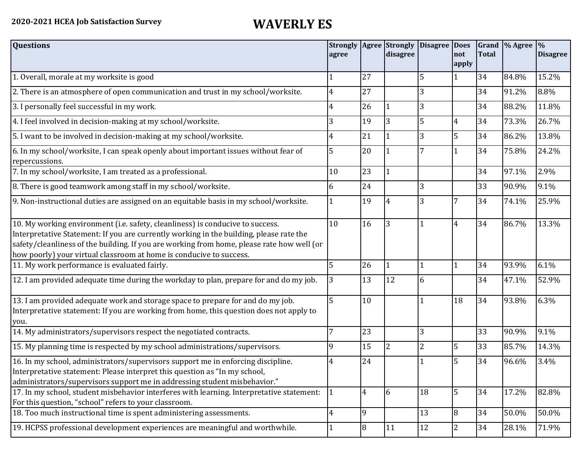| <b>Questions</b>                                                                                                                                                                                                                                                                                                                               | agree        |                | <b>Strongly   Agree   Strongly</b><br>disagree | <b>Disagree Does</b> | not<br>apply   | <b>Total</b> | Grand  % Agree  % | <b>Disagree</b> |
|------------------------------------------------------------------------------------------------------------------------------------------------------------------------------------------------------------------------------------------------------------------------------------------------------------------------------------------------|--------------|----------------|------------------------------------------------|----------------------|----------------|--------------|-------------------|-----------------|
| 1. Overall, morale at my worksite is good                                                                                                                                                                                                                                                                                                      |              | 27             |                                                | 5                    | 1              | 34           | 84.8%             | 15.2%           |
| 2. There is an atmosphere of open communication and trust in my school/worksite.                                                                                                                                                                                                                                                               | 4            | 27             |                                                | 3                    |                | 34           | 91.2%             | 8.8%            |
| 3. I personally feel successful in my work.                                                                                                                                                                                                                                                                                                    | 4            | 26             |                                                |                      |                | 34           | 88.2%             | 11.8%           |
| 4. I feel involved in decision-making at my school/worksite.                                                                                                                                                                                                                                                                                   | 3            | 19             | 3                                              | 5                    | 4              | 34           | 73.3%             | 26.7%           |
| 5. I want to be involved in decision-making at my school/worksite.                                                                                                                                                                                                                                                                             | 4            | 21             |                                                | 3                    | 5              | 34           | 86.2%             | 13.8%           |
| 6. In my school/worksite, I can speak openly about important issues without fear of<br>repercussions.                                                                                                                                                                                                                                          | 5            | 20             |                                                |                      |                | 34           | 75.8%             | 24.2%           |
| 7. In my school/worksite, I am treated as a professional.                                                                                                                                                                                                                                                                                      | 10           | 23             | $\mathbf{1}$                                   |                      |                | 34           | 97.1%             | 2.9%            |
| 8. There is good teamwork among staff in my school/worksite.                                                                                                                                                                                                                                                                                   | 6            | 24             |                                                | 3                    |                | 33           | 90.9%             | 9.1%            |
| 9. Non-instructional duties are assigned on an equitable basis in my school/worksite.                                                                                                                                                                                                                                                          |              | 19             | 4                                              | 3                    | 7              | 34           | 74.1%             | 25.9%           |
| 10. My working environment (i.e. safety, cleanliness) is conducive to success.<br>Interpretative Statement: If you are currently working in the building, please rate the<br>safety/cleanliness of the building. If you are working from home, please rate how well (or<br>how poorly) your virtual classroom at home is conducive to success. | 10           | 16             | 3                                              |                      | 4              | 34           | 86.7%             | 13.3%           |
| 11. My work performance is evaluated fairly.                                                                                                                                                                                                                                                                                                   | 5            | 26             |                                                |                      | 1              | 34           | 93.9%             | 6.1%            |
| 12. I am provided adequate time during the workday to plan, prepare for and do my job.                                                                                                                                                                                                                                                         | 3            | 13             | 12                                             | 6                    |                | 34           | 47.1%             | 52.9%           |
| 13. I am provided adequate work and storage space to prepare for and do my job.<br>Interpretative statement: If you are working from home, this question does not apply to<br>you.                                                                                                                                                             | 5            | 10             |                                                |                      | 18             | 34           | 93.8%             | 6.3%            |
| 14. My administrators/supervisors respect the negotiated contracts.                                                                                                                                                                                                                                                                            | 7            | 23             |                                                | 3                    |                | 33           | 90.9%             | 9.1%            |
| 15. My planning time is respected by my school administrations/supervisors.                                                                                                                                                                                                                                                                    | q            | 15             | $\overline{2}$                                 | 2                    | 5              | 33           | 85.7%             | 14.3%           |
| 16. In my school, administrators/supervisors support me in enforcing discipline.<br>Interpretative statement: Please interpret this question as "In my school,<br>administrators/supervisors support me in addressing student misbehavior."                                                                                                    | 4            | 24             |                                                |                      | 5              | 34           | 96.6%             | 3.4%            |
| 17. In my school, student misbehavior interferes with learning. Interpretative statement:<br>For this question, "school" refers to your classroom.                                                                                                                                                                                             | $\mathbf{1}$ | $\overline{4}$ | 16                                             | 18                   | 5              | 34           | 17.2%             | 82.8%           |
| 18. Too much instructional time is spent administering assessments.                                                                                                                                                                                                                                                                            | 4            | 9              |                                                | 13                   | 8              | 34           | 50.0%             | 50.0%           |
| 19. HCPSS professional development experiences are meaningful and worthwhile.                                                                                                                                                                                                                                                                  | 1            | 8              | 11                                             | 12                   | $\overline{2}$ | 34           | 28.1%             | 71.9%           |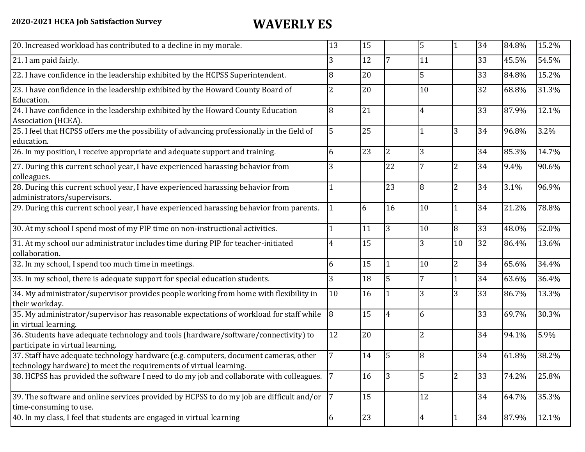| 20. Increased workload has contributed to a decline in my morale.                                                                                          | 13 | 15 |                | 5              |                  | 34 | 84.8% | 15.2% |
|------------------------------------------------------------------------------------------------------------------------------------------------------------|----|----|----------------|----------------|------------------|----|-------|-------|
| 21. I am paid fairly.                                                                                                                                      | 3  | 12 |                | 11             |                  | 33 | 45.5% | 54.5% |
| 22. I have confidence in the leadership exhibited by the HCPSS Superintendent.                                                                             | 8  | 20 |                | 5              |                  | 33 | 84.8% | 15.2% |
| 23. I have confidence in the leadership exhibited by the Howard County Board of<br>Education.                                                              | 2  | 20 |                | 10             |                  | 32 | 68.8% | 31.3% |
| 24. I have confidence in the leadership exhibited by the Howard County Education<br>Association (HCEA).                                                    | 8  | 21 |                | 4              |                  | 33 | 87.9% | 12.1% |
| 25. I feel that HCPSS offers me the possibility of advancing professionally in the field of<br>education.                                                  | 5  | 25 |                | 1              | 3                | 34 | 96.8% | 3.2%  |
| 26. In my position, I receive appropriate and adequate support and training.                                                                               | 6  | 23 | $\overline{2}$ | 3              |                  | 34 | 85.3% | 14.7% |
| 27. During this current school year, I have experienced harassing behavior from<br>colleagues.                                                             | 3  |    | 22             | 7              | $\overline{2}$   | 34 | 9.4%  | 90.6% |
| 28. During this current school year, I have experienced harassing behavior from<br>administrators/supervisors.                                             |    |    | 23             | 8              | $\overline{2}$   | 34 | 3.1%  | 96.9% |
| 29. During this current school year, I have experienced harassing behavior from parents.                                                                   |    | 6  | 16             | 10             | 1                | 34 | 21.2% | 78.8% |
| 30. At my school I spend most of my PIP time on non-instructional activities.                                                                              |    | 11 | 3              | 10             | 8                | 33 | 48.0% | 52.0% |
| 31. At my school our administrator includes time during PIP for teacher-initiated<br>collaboration.                                                        | 4  | 15 |                | 3              | 10               | 32 | 86.4% | 13.6% |
| 32. In my school, I spend too much time in meetings.                                                                                                       | 6  | 15 | $\mathbf{1}$   | 10             | $\overline{2}$   | 34 | 65.6% | 34.4% |
| 33. In my school, there is adequate support for special education students.                                                                                | 3  | 18 | 5              | 7              |                  | 34 | 63.6% | 36.4% |
| 34. My administrator/supervisor provides people working from home with flexibility in<br>their workday.                                                    | 10 | 16 |                | 3              | 3                | 33 | 86.7% | 13.3% |
| 35. My administrator/supervisor has reasonable expectations of workload for staff while<br>in virtual learning.                                            | 8  | 15 |                | 6              |                  | 33 | 69.7% | 30.3% |
| 36. Students have adequate technology and tools (hardware/software/connectivity) to<br>participate in virtual learning.                                    | 12 | 20 |                | $\overline{2}$ |                  | 34 | 94.1% | 5.9%  |
| 37. Staff have adequate technology hardware (e.g. computers, document cameras, other<br>technology hardware) to meet the requirements of virtual learning. |    | 14 | 5              | 8              |                  | 34 | 61.8% | 38.2% |
| 38. HCPSS has provided the software I need to do my job and collaborate with colleagues.                                                                   | 17 | 16 |                | 5              | $\boldsymbol{2}$ | 33 | 74.2% | 25.8% |
| 39. The software and online services provided by HCPSS to do my job are difficult and/or<br>time-consuming to use.                                         | 7  | 15 |                | 12             |                  | 34 | 64.7% | 35.3% |
| 40. In my class, I feel that students are engaged in virtual learning                                                                                      | 6  | 23 |                | 4              | 1                | 34 | 87.9% | 12.1% |
|                                                                                                                                                            |    |    |                |                |                  |    |       |       |